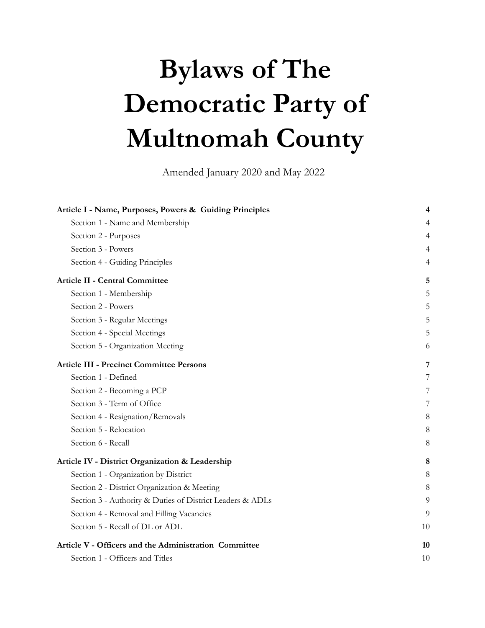# **Bylaws of The Democratic Party of Multnomah County**

Amended January 2020 and May 2022

| Article I - Name, Purposes, Powers & Guiding Principles   | 4  |
|-----------------------------------------------------------|----|
| Section 1 - Name and Membership                           | 4  |
| Section 2 - Purposes                                      | 4  |
| Section 3 - Powers                                        | 4  |
| Section 4 - Guiding Principles                            | 4  |
| <b>Article II - Central Committee</b>                     | 5  |
| Section 1 - Membership                                    | 5  |
| Section 2 - Powers                                        | 5  |
| Section 3 - Regular Meetings                              | 5  |
| Section 4 - Special Meetings                              | 5  |
| Section 5 - Organization Meeting                          | 6  |
| <b>Article III - Precinct Committee Persons</b>           | 7  |
| Section 1 - Defined                                       | 7  |
| Section 2 - Becoming a PCP                                | 7  |
| Section 3 - Term of Office                                | 7  |
| Section 4 - Resignation/Removals                          | 8  |
| Section 5 - Relocation                                    | 8  |
| Section 6 - Recall                                        | 8  |
| Article IV - District Organization & Leadership           | 8  |
| Section 1 - Organization by District                      | 8  |
| Section 2 - District Organization & Meeting               | 8  |
| Section 3 - Authority & Duties of District Leaders & ADLs | 9  |
| Section 4 - Removal and Filling Vacancies                 | 9  |
| Section 5 - Recall of DL or ADL                           | 10 |
| Article V - Officers and the Administration Committee     | 10 |
| Section 1 - Officers and Titles                           | 10 |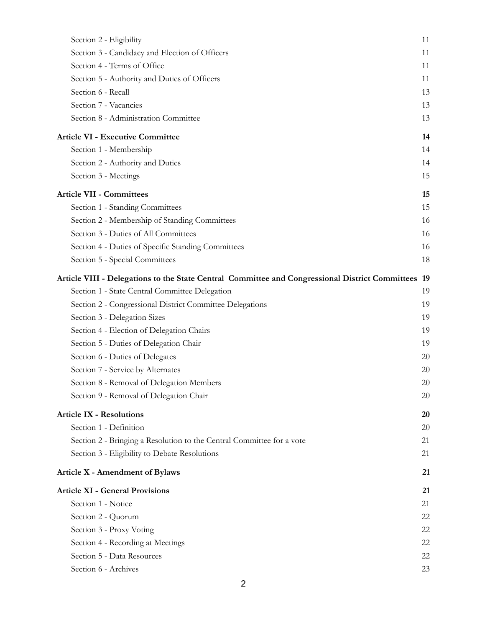| Section 2 - Eligibility                                                                            | 11 |
|----------------------------------------------------------------------------------------------------|----|
| Section 3 - Candidacy and Election of Officers                                                     | 11 |
| Section 4 - Terms of Office                                                                        | 11 |
| Section 5 - Authority and Duties of Officers                                                       | 11 |
| Section 6 - Recall                                                                                 | 13 |
| Section 7 - Vacancies                                                                              | 13 |
| Section 8 - Administration Committee                                                               | 13 |
| <b>Article VI - Executive Committee</b>                                                            | 14 |
| Section 1 - Membership                                                                             | 14 |
| Section 2 - Authority and Duties                                                                   | 14 |
| Section 3 - Meetings                                                                               | 15 |
| <b>Article VII - Committees</b>                                                                    | 15 |
| Section 1 - Standing Committees                                                                    | 15 |
| Section 2 - Membership of Standing Committees                                                      | 16 |
| Section 3 - Duties of All Committees                                                               | 16 |
| Section 4 - Duties of Specific Standing Committees                                                 | 16 |
| Section 5 - Special Committees                                                                     | 18 |
| Article VIII - Delegations to the State Central Committee and Congressional District Committees 19 |    |
| Section 1 - State Central Committee Delegation                                                     | 19 |
| Section 2 - Congressional District Committee Delegations                                           | 19 |
| Section 3 - Delegation Sizes                                                                       | 19 |
| Section 4 - Election of Delegation Chairs                                                          | 19 |
| Section 5 - Duties of Delegation Chair                                                             | 19 |
| Section 6 - Duties of Delegates                                                                    | 20 |
| Section 7 - Service by Alternates                                                                  | 20 |
| Section 8 - Removal of Delegation Members                                                          | 20 |
| Section 9 - Removal of Delegation Chair                                                            | 20 |
| <b>Article IX - Resolutions</b>                                                                    | 20 |
| Section 1 - Definition                                                                             | 20 |
| Section 2 - Bringing a Resolution to the Central Committee for a vote                              | 21 |
| Section 3 - Eligibility to Debate Resolutions                                                      | 21 |
| <b>Article X - Amendment of Bylaws</b>                                                             | 21 |
| <b>Article XI - General Provisions</b>                                                             | 21 |
| Section 1 - Notice                                                                                 | 21 |
| Section 2 - Quorum                                                                                 | 22 |
| Section 3 - Proxy Voting                                                                           | 22 |
| Section 4 - Recording at Meetings                                                                  | 22 |
| Section 5 - Data Resources                                                                         | 22 |
| Section 6 - Archives                                                                               | 23 |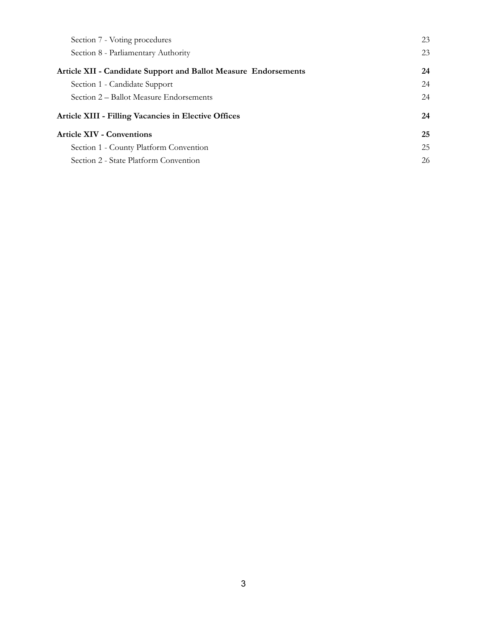| Section 7 - Voting procedures                                          | 23 |
|------------------------------------------------------------------------|----|
| Section 8 - Parliamentary Authority                                    | 23 |
| <b>Article XII - Candidate Support and Ballot Measure Endorsements</b> | 24 |
| Section 1 - Candidate Support                                          | 24 |
| Section 2 – Ballot Measure Endorsements                                | 24 |
| <b>Article XIII - Filling Vacancies in Elective Offices</b>            | 24 |
| <b>Article XIV - Conventions</b>                                       | 25 |
| Section 1 - County Platform Convention                                 | 25 |
| Section 2 - State Platform Convention                                  | 26 |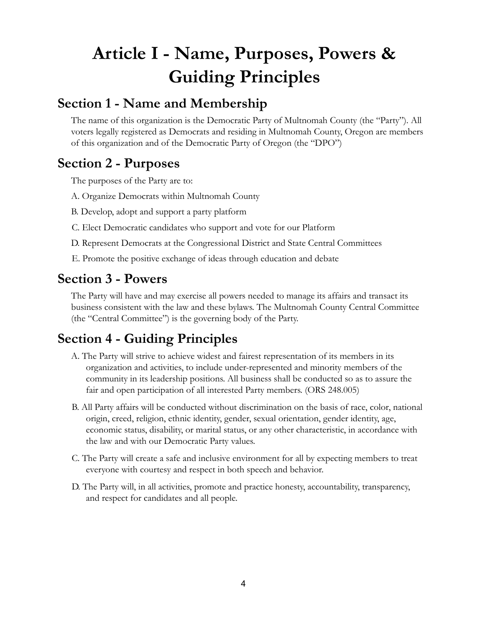## <span id="page-3-0"></span>**Article I - Name, Purposes, Powers & Guiding Principles**

### <span id="page-3-1"></span>**Section 1 - Name and Membership**

The name of this organization is the Democratic Party of Multnomah County (the "Party"). All voters legally registered as Democrats and residing in Multnomah County, Oregon are members of this organization and of the Democratic Party of Oregon (the "DPO")

## <span id="page-3-2"></span>**Section 2 - Purposes**

The purposes of the Party are to:

- A. Organize Democrats within Multnomah County
- B. Develop, adopt and support a party platform
- C. Elect Democratic candidates who support and vote for our Platform
- D. Represent Democrats at the Congressional District and State Central Committees
- E. Promote the positive exchange of ideas through education and debate

### <span id="page-3-3"></span>**Section 3 - Powers**

The Party will have and may exercise all powers needed to manage its affairs and transact its business consistent with the law and these bylaws. The Multnomah County Central Committee (the "Central Committee") is the governing body of the Party.

## <span id="page-3-4"></span>**Section 4 - Guiding Principles**

- A. The Party will strive to achieve widest and fairest representation of its members in its organization and activities, to include under-represented and minority members of the community in its leadership positions. All business shall be conducted so as to assure the fair and open participation of all interested Party members. (ORS 248.005)
- B. All Party affairs will be conducted without discrimination on the basis of race, color, national origin, creed, religion, ethnic identity, gender, sexual orientation, gender identity, age, economic status, disability, or marital status, or any other characteristic, in accordance with the law and with our Democratic Party values.
- C. The Party will create a safe and inclusive environment for all by expecting members to treat everyone with courtesy and respect in both speech and behavior.
- D. The Party will, in all activities, promote and practice honesty, accountability, transparency, and respect for candidates and all people.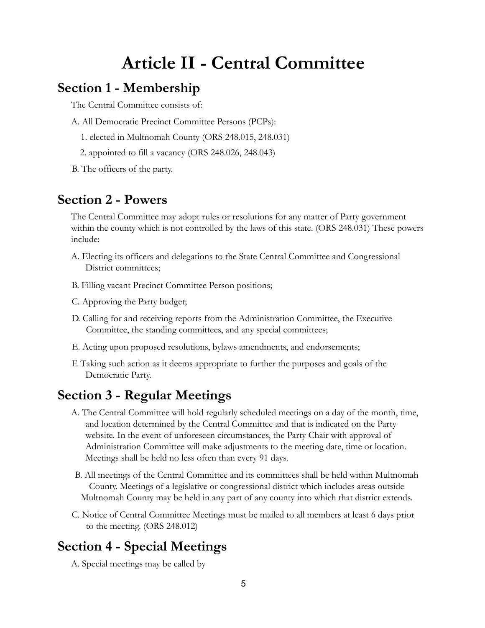## **Article II - Central Committee**

### <span id="page-4-1"></span><span id="page-4-0"></span>**Section 1 - Membership**

The Central Committee consists of:

- A. All Democratic Precinct Committee Persons (PCPs):
	- 1. elected in Multnomah County (ORS 248.015, 248.031)
	- 2. appointed to fill a vacancy (ORS 248.026, 248.043)
- <span id="page-4-2"></span>B. The officers of the party.

### **Section 2 - Powers**

The Central Committee may adopt rules or resolutions for any matter of Party government within the county which is not controlled by the laws of this state. (ORS 248.031) These powers include:

- A. Electing its officers and delegations to the State Central Committee and Congressional District committees;
- B. Filling vacant Precinct Committee Person positions;
- C. Approving the Party budget;
- D. Calling for and receiving reports from the Administration Committee, the Executive Committee, the standing committees, and any special committees;
- E. Acting upon proposed resolutions, bylaws amendments, and endorsements;
- F. Taking such action as it deems appropriate to further the purposes and goals of the Democratic Party.

### <span id="page-4-3"></span>**Section 3 - Regular Meetings**

- A. The Central Committee will hold regularly scheduled meetings on a day of the month, time, and location determined by the Central Committee and that is indicated on the Party website. In the event of unforeseen circumstances, the Party Chair with approval of Administration Committee will make adjustments to the meeting date, time or location. Meetings shall be held no less often than every 91 days.
- B. All meetings of the Central Committee and its committees shall be held within Multnomah County. Meetings of a legislative or congressional district which includes areas outside Multnomah County may be held in any part of any county into which that district extends.
- C. Notice of Central Committee Meetings must be mailed to all members at least 6 days prior to the meeting. (ORS 248.012)

### <span id="page-4-4"></span>**Section 4 - Special Meetings**

A. Special meetings may be called by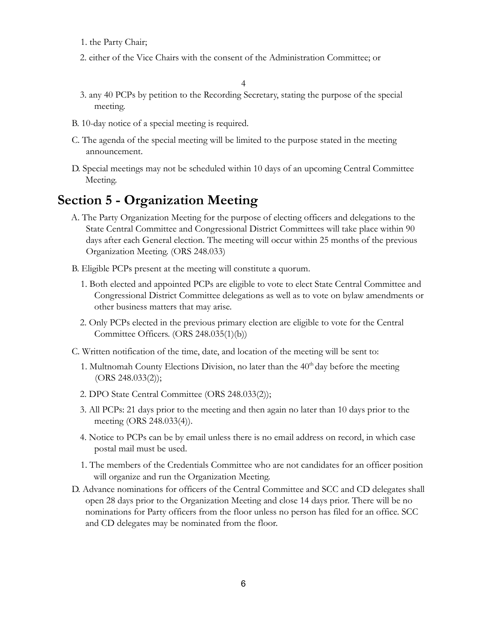- 1. the Party Chair;
- 2. either of the Vice Chairs with the consent of the Administration Committee; or

4

- 3. any 40 PCPs by petition to the Recording Secretary, stating the purpose of the special meeting.
- B. 10-day notice of a special meeting is required.
- C. The agenda of the special meeting will be limited to the purpose stated in the meeting announcement.
- D. Special meetings may not be scheduled within 10 days of an upcoming Central Committee Meeting.

### <span id="page-5-0"></span>**Section 5 - Organization Meeting**

- A. The Party Organization Meeting for the purpose of electing officers and delegations to the State Central Committee and Congressional District Committees will take place within 90 days after each General election. The meeting will occur within 25 months of the previous Organization Meeting. (ORS 248.033)
- B. Eligible PCPs present at the meeting will constitute a quorum.
	- 1. Both elected and appointed PCPs are eligible to vote to elect State Central Committee and Congressional District Committee delegations as well as to vote on bylaw amendments or other business matters that may arise.
	- 2. Only PCPs elected in the previous primary election are eligible to vote for the Central Committee Officers. (ORS 248.035(1)(b))
- C. Written notification of the time, date, and location of the meeting will be sent to:
	- 1. Multnomah County Elections Division, no later than the  $40<sup>th</sup>$  day before the meeting (ORS 248.033(2));
	- 2. DPO State Central Committee (ORS 248.033(2));
	- 3. All PCPs: 21 days prior to the meeting and then again no later than 10 days prior to the meeting (ORS 248.033(4)).
	- 4. Notice to PCPs can be by email unless there is no email address on record, in which case postal mail must be used.
	- 1. The members of the Credentials Committee who are not candidates for an officer position will organize and run the Organization Meeting.
- D. Advance nominations for officers of the Central Committee and SCC and CD delegates shall open 28 days prior to the Organization Meeting and close 14 days prior. There will be no nominations for Party officers from the floor unless no person has filed for an office. SCC and CD delegates may be nominated from the floor.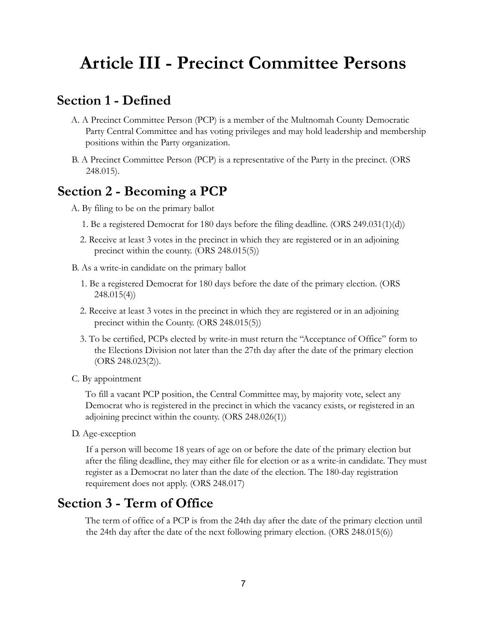## <span id="page-6-0"></span>**Article III - Precinct Committee Persons**

### <span id="page-6-1"></span>**Section 1 - Defined**

- A. A Precinct Committee Person (PCP) is a member of the Multnomah County Democratic Party Central Committee and has voting privileges and may hold leadership and membership positions within the Party organization.
- B. A Precinct Committee Person (PCP) is a representative of the Party in the precinct. (ORS 248.015).

### <span id="page-6-2"></span>**Section 2 - Becoming a PCP**

- A. By filing to be on the primary ballot
	- 1. Be a registered Democrat for 180 days before the filing deadline. (ORS 249.031(1)(d))
	- 2. Receive at least 3 votes in the precinct in which they are registered or in an adjoining precinct within the county. (ORS 248.015(5))
- B. As a write-in candidate on the primary ballot
	- 1. Be a registered Democrat for 180 days before the date of the primary election. (ORS 248.015(4))
	- 2. Receive at least 3 votes in the precinct in which they are registered or in an adjoining precinct within the County. (ORS 248.015(5))
	- 3. To be certified, PCPs elected by write-in must return the "Acceptance of Office" form to the Elections Division not later than the 27th day after the date of the primary election (ORS 248.023(2)).
- C. By appointment

To fill a vacant PCP position, the Central Committee may, by majority vote, select any Democrat who is registered in the precinct in which the vacancy exists, or registered in an adjoining precinct within the county. (ORS 248.026(1))

D. Age-exception

If a person will become 18 years of age on or before the date of the primary election but after the filing deadline, they may either file for election or as a write-in candidate. They must register as a Democrat no later than the date of the election. The 180-day registration requirement does not apply. (ORS 248.017)

### <span id="page-6-3"></span>**Section 3 - Term of Office**

The term of office of a PCP is from the 24th day after the date of the primary election until the 24th day after the date of the next following primary election. (ORS 248.015(6))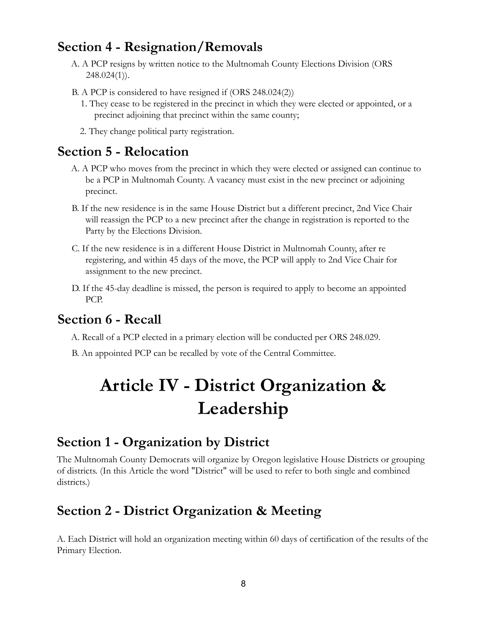### <span id="page-7-0"></span>**Section 4 - Resignation/Removals**

- A. A PCP resigns by written notice to the Multnomah County Elections Division (ORS 248.024(1)).
- B. A PCP is considered to have resigned if (ORS 248.024(2))
	- 1. They cease to be registered in the precinct in which they were elected or appointed, or a precinct adjoining that precinct within the same county;
	- 2. They change political party registration.

### <span id="page-7-1"></span>**Section 5 - Relocation**

- A. A PCP who moves from the precinct in which they were elected or assigned can continue to be a PCP in Multnomah County. A vacancy must exist in the new precinct or adjoining precinct.
- B. If the new residence is in the same House District but a different precinct, 2nd Vice Chair will reassign the PCP to a new precinct after the change in registration is reported to the Party by the Elections Division.
- C. If the new residence is in a different House District in Multnomah County, after re registering, and within 45 days of the move, the PCP will apply to 2nd Vice Chair for assignment to the new precinct.
- D. If the 45-day deadline is missed, the person is required to apply to become an appointed PCP.

### <span id="page-7-2"></span>**Section 6 - Recall**

- A. Recall of a PCP elected in a primary election will be conducted per ORS 248.029.
- <span id="page-7-3"></span>B. An appointed PCP can be recalled by vote of the Central Committee.

## **Article IV - District Organization & Leadership**

### <span id="page-7-4"></span>**Section 1 - Organization by District**

The Multnomah County Democrats will organize by Oregon legislative House Districts or grouping of districts. (In this Article the word "District" will be used to refer to both single and combined districts.)

### <span id="page-7-5"></span>**Section 2 - District Organization & Meeting**

A. Each District will hold an organization meeting within 60 days of certification of the results of the Primary Election.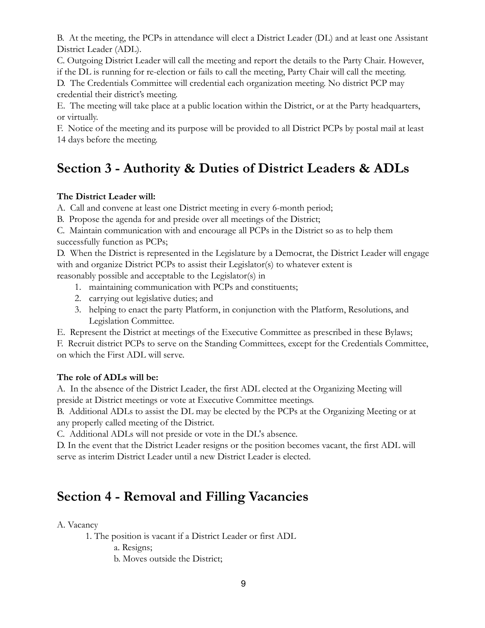B. At the meeting, the PCPs in attendance will elect a District Leader (DL) and at least one Assistant District Leader (ADL).

C. Outgoing District Leader will call the meeting and report the details to the Party Chair. However, if the DL is running for re-election or fails to call the meeting, Party Chair will call the meeting.

D. The Credentials Committee will credential each organization meeting. No district PCP may credential their district's meeting.

E. The meeting will take place at a public location within the District, or at the Party headquarters, or virtually.

F. Notice of the meeting and its purpose will be provided to all District PCPs by postal mail at least 14 days before the meeting.

## <span id="page-8-0"></span>**Section 3 - Authority & Duties of District Leaders & ADLs**

### **The District Leader will:**

A. Call and convene at least one District meeting in every 6-month period;

B. Propose the agenda for and preside over all meetings of the District;

C. Maintain communication with and encourage all PCPs in the District so as to help them successfully function as PCPs;

D. When the District is represented in the Legislature by a Democrat, the District Leader will engage with and organize District PCPs to assist their Legislator(s) to whatever extent is reasonably possible and acceptable to the Legislator(s) in

1. maintaining communication with PCPs and constituents;

- 2. carrying out legislative duties; and
- 3. helping to enact the party Platform, in conjunction with the Platform, Resolutions, and Legislation Committee.

E. Represent the District at meetings of the Executive Committee as prescribed in these Bylaws;

F. Recruit district PCPs to serve on the Standing Committees, except for the Credentials Committee, on which the First ADL will serve.

### **The role of ADLs will be:**

A. In the absence of the District Leader, the first ADL elected at the Organizing Meeting will preside at District meetings or vote at Executive Committee meetings.

B. Additional ADLs to assist the DL may be elected by the PCPs at the Organizing Meeting or at any properly called meeting of the District.

C. Additional ADLs will not preside or vote in the DL's absence.

D. In the event that the District Leader resigns or the position becomes vacant, the first ADL will serve as interim District Leader until a new District Leader is elected.

### <span id="page-8-1"></span>**Section 4 - Removal and Filling Vacancies**

A. Vacancy

1. The position is vacant if a District Leader or first ADL

a. Resigns;

b. Moves outside the District;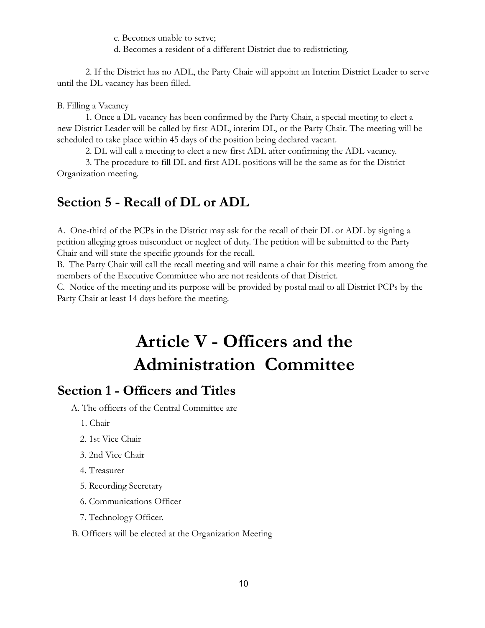c. Becomes unable to serve;

d. Becomes a resident of a different District due to redistricting.

2. If the District has no ADL, the Party Chair will appoint an Interim District Leader to serve until the DL vacancy has been filled.

### B. Filling a Vacancy

1. Once a DL vacancy has been confirmed by the Party Chair, a special meeting to elect a new District Leader will be called by first ADL, interim DL, or the Party Chair. The meeting will be scheduled to take place within 45 days of the position being declared vacant.

2. DL will call a meeting to elect a new first ADL after confirming the ADL vacancy.

3. The procedure to fill DL and first ADL positions will be the same as for the District Organization meeting.

## <span id="page-9-0"></span>**Section 5 - Recall of DL or ADL**

A. One-third of the PCPs in the District may ask for the recall of their DL or ADL by signing a petition alleging gross misconduct or neglect of duty. The petition will be submitted to the Party Chair and will state the specific grounds for the recall.

B. The Party Chair will call the recall meeting and will name a chair for this meeting from among the members of the Executive Committee who are not residents of that District.

<span id="page-9-1"></span>C. Notice of the meeting and its purpose will be provided by postal mail to all District PCPs by the Party Chair at least 14 days before the meeting.

## **Article V - Officers and the Administration Committee**

### <span id="page-9-2"></span>**Section 1 - Officers and Titles**

A. The officers of the Central Committee are

1. Chair

- 2. 1st Vice Chair
- 3. 2nd Vice Chair
- 4. Treasurer
- 5. Recording Secretary
- 6. Communications Officer
- 7. Technology Officer.

#### B. Officers will be elected at the Organization Meeting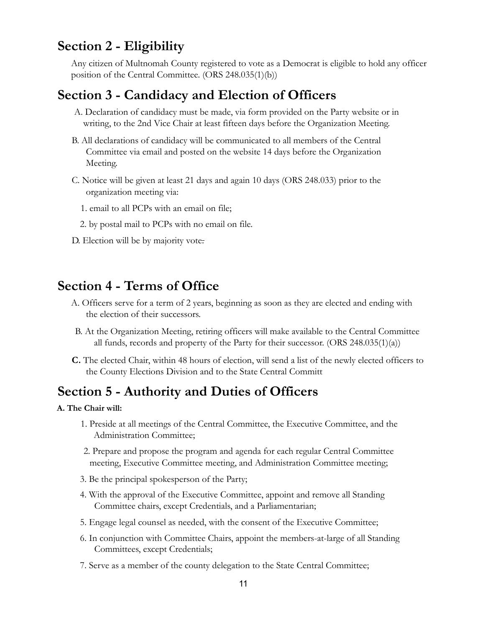### <span id="page-10-0"></span>**Section 2 - Eligibility**

Any citizen of Multnomah County registered to vote as a Democrat is eligible to hold any officer position of the Central Committee. (ORS 248.035(1)(b))

### <span id="page-10-1"></span>**Section 3 - Candidacy and Election of Officers**

- A. Declaration of candidacy must be made, via form provided on the Party website or in writing, to the 2nd Vice Chair at least fifteen days before the Organization Meeting.
- B. All declarations of candidacy will be communicated to all members of the Central Committee via email and posted on the website 14 days before the Organization Meeting.
- C. Notice will be given at least 21 days and again 10 days (ORS 248.033) prior to the organization meeting via:
	- 1. email to all PCPs with an email on file;
	- 2. by postal mail to PCPs with no email on file.
- D. Election will be by majority vote.

### <span id="page-10-2"></span>**Section 4 - Terms of Office**

- A. Officers serve for a term of 2 years, beginning as soon as they are elected and ending with the election of their successors.
- B. At the Organization Meeting, retiring officers will make available to the Central Committee all funds, records and property of the Party for their successor. (ORS 248.035(1)(a))
- **C.** The elected Chair, within 48 hours of election, will send a list of the newly elected officers to the County Elections Division and to the State Central Committ

### <span id="page-10-3"></span>**Section 5 - Authority and Duties of Officers**

#### **A. The Chair will:**

- 1. Preside at all meetings of the Central Committee, the Executive Committee, and the Administration Committee;
- 2. Prepare and propose the program and agenda for each regular Central Committee meeting, Executive Committee meeting, and Administration Committee meeting;
- 3. Be the principal spokesperson of the Party;
- 4. With the approval of the Executive Committee, appoint and remove all Standing Committee chairs, except Credentials, and a Parliamentarian;
- 5. Engage legal counsel as needed, with the consent of the Executive Committee;
- 6. In conjunction with Committee Chairs, appoint the members-at-large of all Standing Committees, except Credentials;
- 7. Serve as a member of the county delegation to the State Central Committee;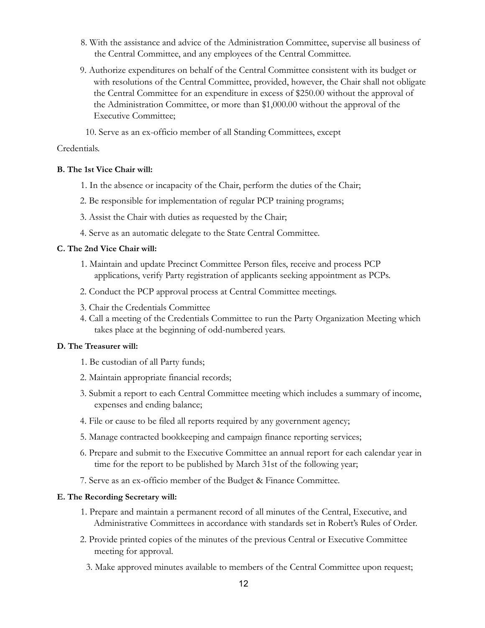- 8. With the assistance and advice of the Administration Committee, supervise all business of the Central Committee, and any employees of the Central Committee.
- 9. Authorize expenditures on behalf of the Central Committee consistent with its budget or with resolutions of the Central Committee, provided, however, the Chair shall not obligate the Central Committee for an expenditure in excess of \$250.00 without the approval of the Administration Committee, or more than \$1,000.00 without the approval of the Executive Committee;
	- 10. Serve as an ex-officio member of all Standing Committees, except

#### Credentials.

#### **B. The 1st Vice Chair will:**

- 1. In the absence or incapacity of the Chair, perform the duties of the Chair;
- 2. Be responsible for implementation of regular PCP training programs;
- 3. Assist the Chair with duties as requested by the Chair;
- 4. Serve as an automatic delegate to the State Central Committee.

#### **C. The 2nd Vice Chair will:**

- 1. Maintain and update Precinct Committee Person files, receive and process PCP applications, verify Party registration of applicants seeking appointment as PCPs.
- 2. Conduct the PCP approval process at Central Committee meetings.
- 3. Chair the Credentials Committee
- 4. Call a meeting of the Credentials Committee to run the Party Organization Meeting which takes place at the beginning of odd-numbered years.

#### **D. The Treasurer will:**

- 1. Be custodian of all Party funds;
- 2. Maintain appropriate financial records;
- 3. Submit a report to each Central Committee meeting which includes a summary of income, expenses and ending balance;
- 4. File or cause to be filed all reports required by any government agency;
- 5. Manage contracted bookkeeping and campaign finance reporting services;
- 6. Prepare and submit to the Executive Committee an annual report for each calendar year in time for the report to be published by March 31st of the following year;
- 7. Serve as an ex-officio member of the Budget & Finance Committee.

#### **E. The Recording Secretary will:**

- 1. Prepare and maintain a permanent record of all minutes of the Central, Executive, and Administrative Committees in accordance with standards set in Robert's Rules of Order.
- 2. Provide printed copies of the minutes of the previous Central or Executive Committee meeting for approval.
	- 3. Make approved minutes available to members of the Central Committee upon request;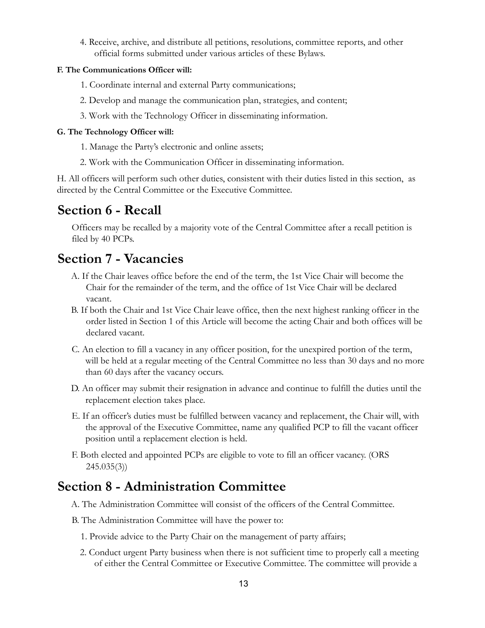4. Receive, archive, and distribute all petitions, resolutions, committee reports, and other official forms submitted under various articles of these Bylaws.

### **F. The Communications Officer will:**

- 1. Coordinate internal and external Party communications;
- 2. Develop and manage the communication plan, strategies, and content;
- 3. Work with the Technology Officer in disseminating information.

#### **G. The Technology Officer will:**

- 1. Manage the Party's electronic and online assets;
- 2. Work with the Communication Officer in disseminating information.

H. All officers will perform such other duties, consistent with their duties listed in this section, as directed by the Central Committee or the Executive Committee.

### <span id="page-12-0"></span>**Section 6 - Recall**

Officers may be recalled by a majority vote of the Central Committee after a recall petition is filed by 40 PCPs.

### <span id="page-12-1"></span>**Section 7 - Vacancies**

- A. If the Chair leaves office before the end of the term, the 1st Vice Chair will become the Chair for the remainder of the term, and the office of 1st Vice Chair will be declared vacant.
- B. If both the Chair and 1st Vice Chair leave office, then the next highest ranking officer in the order listed in Section 1 of this Article will become the acting Chair and both offices will be declared vacant.
- C. An election to fill a vacancy in any officer position, for the unexpired portion of the term, will be held at a regular meeting of the Central Committee no less than 30 days and no more than 60 days after the vacancy occurs.
- D. An officer may submit their resignation in advance and continue to fulfill the duties until the replacement election takes place.
- E. If an officer's duties must be fulfilled between vacancy and replacement, the Chair will, with the approval of the Executive Committee, name any qualified PCP to fill the vacant officer position until a replacement election is held.
- F. Both elected and appointed PCPs are eligible to vote to fill an officer vacancy. (ORS 245.035(3))

### <span id="page-12-2"></span>**Section 8 - Administration Committee**

- A. The Administration Committee will consist of the officers of the Central Committee.
- B. The Administration Committee will have the power to:
	- 1. Provide advice to the Party Chair on the management of party affairs;
	- 2. Conduct urgent Party business when there is not sufficient time to properly call a meeting of either the Central Committee or Executive Committee. The committee will provide a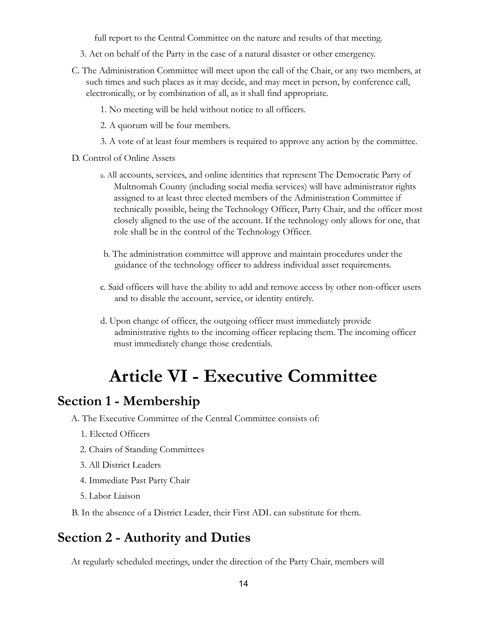full report to the Central Committee on the nature and results of that meeting.

- 3. Act on behalf of the Party in the case of a natural disaster or other emergency.
- C. The Administration Committee will meet upon the call of the Chair, or any two members, at such times and such places as it may decide, and may meet in person, by conference call, electronically, or by combination of all, as it shall find appropriate.
	- 1. No meeting will be held without notice to all officers.
	- 2. A quorum will be four members.
	- 3. A vote of at least four members is required to approve any action by the committee.
- D. Control of Online Assets
	- a. All accounts, services, and online identities that represent The Democratic Party of Multnomah County (including social media services) will have administrator rights assigned to at least three elected members of the Administration Committee if technically possible, being the Technology Officer, Party Chair, and the officer most closely aligned to the use of the account. If the technology only allows for one, that role shall be in the control of the Technology Officer.
	- b. The administration committee will approve and maintain procedures under the guidance of the technology officer to address individual asset requirements.
	- c. Said officers will have the ability to add and remove access by other non-officer users and to disable the account, service, or identity entirely.
	- d. Upon change of officer, the outgoing officer must immediately provide administrative rights to the incoming officer replacing them. The incoming officer must immediately change those credentials.

## **Article VI - Executive Committee**

### <span id="page-13-1"></span><span id="page-13-0"></span>**Section 1 - Membership**

A. The Executive Committee of the Central Committee consists of:

- 1. Elected Officers
- 2. Chairs of Standing Committees
- 3. All District Leaders
- 4. Immediate Past Party Chair
- 5. Labor Liaison
- B. In the absence of a District Leader, their First ADL can substitute for them.

### <span id="page-13-2"></span>**Section 2 - Authority and Duties**

At regularly scheduled meetings, under the direction of the Party Chair, members will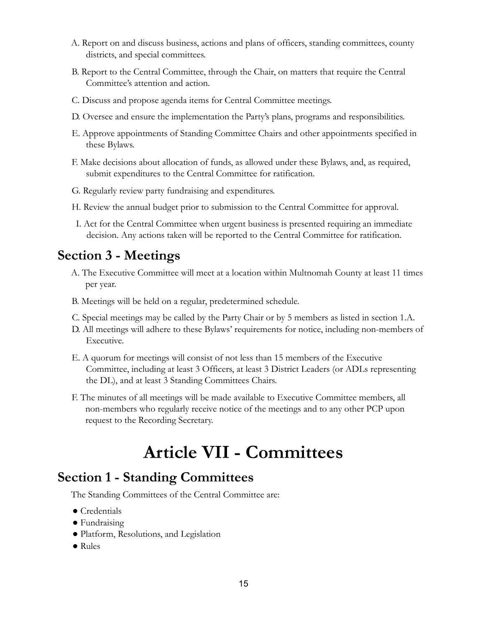- A. Report on and discuss business, actions and plans of officers, standing committees, county districts, and special committees.
- B. Report to the Central Committee, through the Chair, on matters that require the Central Committee's attention and action.
- C. Discuss and propose agenda items for Central Committee meetings.
- D. Oversee and ensure the implementation the Party's plans, programs and responsibilities.
- E. Approve appointments of Standing Committee Chairs and other appointments specified in these Bylaws.
- F. Make decisions about allocation of funds, as allowed under these Bylaws, and, as required, submit expenditures to the Central Committee for ratification.
- G. Regularly review party fundraising and expenditures.
- H. Review the annual budget prior to submission to the Central Committee for approval.
- I. Act for the Central Committee when urgent business is presented requiring an immediate decision. Any actions taken will be reported to the Central Committee for ratification.

### <span id="page-14-0"></span>**Section 3 - Meetings**

- A. The Executive Committee will meet at a location within Multnomah County at least 11 times per year.
- B. Meetings will be held on a regular, predetermined schedule.
- C. Special meetings may be called by the Party Chair or by 5 members as listed in section 1.A.
- D. All meetings will adhere to these Bylaws' requirements for notice, including non-members of Executive.
- E. A quorum for meetings will consist of not less than 15 members of the Executive Committee, including at least 3 Officers, at least 3 District Leaders (or ADLs representing the DL), and at least 3 Standing Committees Chairs.
- <span id="page-14-1"></span>F. The minutes of all meetings will be made available to Executive Committee members, all non-members who regularly receive notice of the meetings and to any other PCP upon request to the Recording Secretary.

## **Article VII - Committees**

### <span id="page-14-2"></span>**Section 1 - Standing Committees**

The Standing Committees of the Central Committee are:

- Credentials
- Fundraising
- Platform, Resolutions, and Legislation
- Rules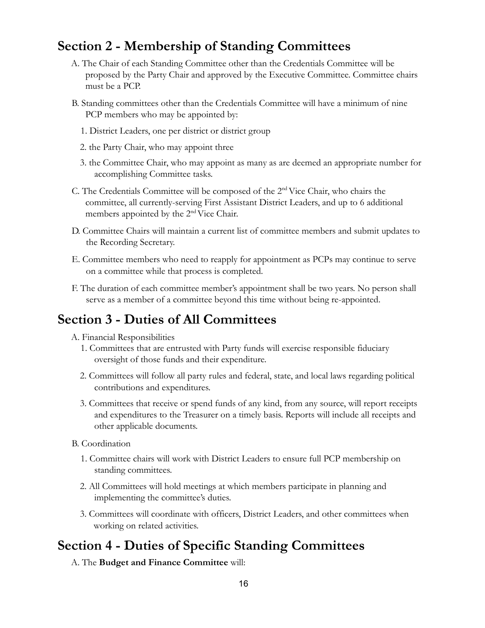### <span id="page-15-0"></span>**Section 2 - Membership of Standing Committees**

- A. The Chair of each Standing Committee other than the Credentials Committee will be proposed by the Party Chair and approved by the Executive Committee. Committee chairs must be a PCP.
- B. Standing committees other than the Credentials Committee will have a minimum of nine PCP members who may be appointed by:
	- 1. District Leaders, one per district or district group
	- 2. the Party Chair, who may appoint three
	- 3. the Committee Chair, who may appoint as many as are deemed an appropriate number for accomplishing Committee tasks.
- C. The Credentials Committee will be composed of the 2<sup>nd</sup> Vice Chair, who chairs the committee, all currently-serving First Assistant District Leaders, and up to 6 additional members appointed by the 2<sup>nd</sup> Vice Chair.
- D. Committee Chairs will maintain a current list of committee members and submit updates to the Recording Secretary.
- E. Committee members who need to reapply for appointment as PCPs may continue to serve on a committee while that process is completed.
- F. The duration of each committee member's appointment shall be two years. No person shall serve as a member of a committee beyond this time without being re-appointed.

### <span id="page-15-1"></span>**Section 3 - Duties of All Committees**

- A. Financial Responsibilities
	- 1. Committees that are entrusted with Party funds will exercise responsible fiduciary oversight of those funds and their expenditure.
	- 2. Committees will follow all party rules and federal, state, and local laws regarding political contributions and expenditures.
	- 3. Committees that receive or spend funds of any kind, from any source, will report receipts and expenditures to the Treasurer on a timely basis. Reports will include all receipts and other applicable documents.
- B. Coordination
	- 1. Committee chairs will work with District Leaders to ensure full PCP membership on standing committees.
	- 2. All Committees will hold meetings at which members participate in planning and implementing the committee's duties.
	- 3. Committees will coordinate with officers, District Leaders, and other committees when working on related activities.

### <span id="page-15-2"></span>**Section 4 - Duties of Specific Standing Committees**

A. The **Budget and Finance Committee** will: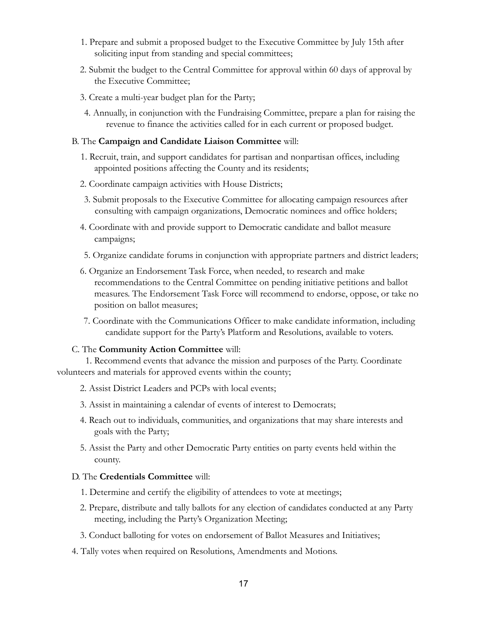- 1. Prepare and submit a proposed budget to the Executive Committee by July 15th after soliciting input from standing and special committees;
- 2. Submit the budget to the Central Committee for approval within 60 days of approval by the Executive Committee;
- 3. Create a multi-year budget plan for the Party;
- 4. Annually, in conjunction with the Fundraising Committee, prepare a plan for raising the revenue to finance the activities called for in each current or proposed budget.

#### B. The **Campaign and Candidate Liaison Committee** will:

- 1. Recruit, train, and support candidates for partisan and nonpartisan offices, including appointed positions affecting the County and its residents;
- 2. Coordinate campaign activities with House Districts;
- 3. Submit proposals to the Executive Committee for allocating campaign resources after consulting with campaign organizations, Democratic nominees and office holders;
- 4. Coordinate with and provide support to Democratic candidate and ballot measure campaigns;
- 5. Organize candidate forums in conjunction with appropriate partners and district leaders;
- 6. Organize an Endorsement Task Force, when needed, to research and make recommendations to the Central Committee on pending initiative petitions and ballot measures. The Endorsement Task Force will recommend to endorse, oppose, or take no position on ballot measures;
- 7. Coordinate with the Communications Officer to make candidate information, including candidate support for the Party's Platform and Resolutions, available to voters.

#### C. The **Community Action Committee** will:

1. Recommend events that advance the mission and purposes of the Party. Coordinate volunteers and materials for approved events within the county;

- 2. Assist District Leaders and PCPs with local events;
- 3. Assist in maintaining a calendar of events of interest to Democrats;
- 4. Reach out to individuals, communities, and organizations that may share interests and goals with the Party;
- 5. Assist the Party and other Democratic Party entities on party events held within the county.

#### D. The **Credentials Committee** will:

- 1. Determine and certify the eligibility of attendees to vote at meetings;
- 2. Prepare, distribute and tally ballots for any election of candidates conducted at any Party meeting, including the Party's Organization Meeting;
- 3. Conduct balloting for votes on endorsement of Ballot Measures and Initiatives;
- 4. Tally votes when required on Resolutions, Amendments and Motions.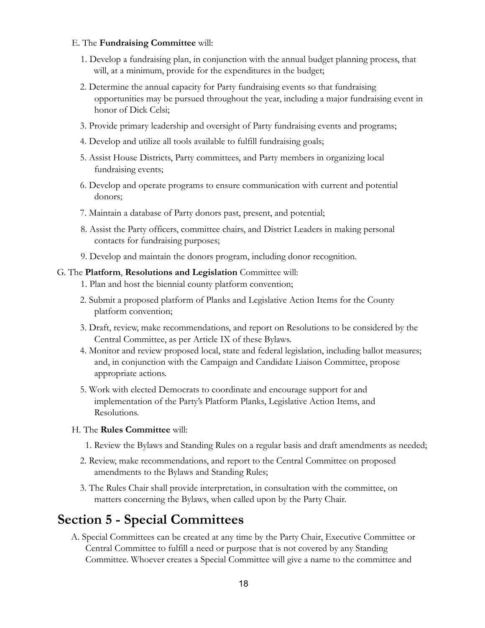#### E. The **Fundraising Committee** will:

- 1. Develop a fundraising plan, in conjunction with the annual budget planning process, that will, at a minimum, provide for the expenditures in the budget;
- 2. Determine the annual capacity for Party fundraising events so that fundraising opportunities may be pursued throughout the year, including a major fundraising event in honor of Dick Celsi;
- 3. Provide primary leadership and oversight of Party fundraising events and programs;
- 4. Develop and utilize all tools available to fulfill fundraising goals;
- 5. Assist House Districts, Party committees, and Party members in organizing local fundraising events;
- 6. Develop and operate programs to ensure communication with current and potential donors;
- 7. Maintain a database of Party donors past, present, and potential;
- 8. Assist the Party officers, committee chairs, and District Leaders in making personal contacts for fundraising purposes;
- 9. Develop and maintain the donors program, including donor recognition.

#### G. The **Platform**, **Resolutions and Legislation** Committee will:

- 1. Plan and host the biennial county platform convention;
- 2. Submit a proposed platform of Planks and Legislative Action Items for the County platform convention;
- 3. Draft, review, make recommendations, and report on Resolutions to be considered by the Central Committee, as per Article IX of these Bylaws.
- 4. Monitor and review proposed local, state and federal legislation, including ballot measures; and, in conjunction with the Campaign and Candidate Liaison Committee, propose appropriate actions.
- 5. Work with elected Democrats to coordinate and encourage support for and implementation of the Party's Platform Planks, Legislative Action Items, and Resolutions.
- H. The **Rules Committee** will:
	- 1. Review the Bylaws and Standing Rules on a regular basis and draft amendments as needed;
	- 2. Review, make recommendations, and report to the Central Committee on proposed amendments to the Bylaws and Standing Rules;
	- 3. The Rules Chair shall provide interpretation, in consultation with the committee, on matters concerning the Bylaws, when called upon by the Party Chair.

### <span id="page-17-0"></span>**Section 5 - Special Committees**

A. Special Committees can be created at any time by the Party Chair, Executive Committee or Central Committee to fulfill a need or purpose that is not covered by any Standing Committee. Whoever creates a Special Committee will give a name to the committee and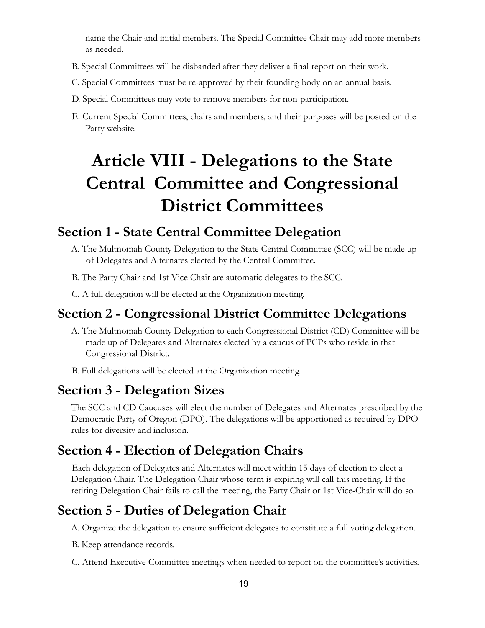name the Chair and initial members. The Special Committee Chair may add more members as needed.

- B. Special Committees will be disbanded after they deliver a final report on their work.
- C. Special Committees must be re-approved by their founding body on an annual basis.
- D. Special Committees may vote to remove members for non-participation.
- <span id="page-18-0"></span>E. Current Special Committees, chairs and members, and their purposes will be posted on the Party website.

## **Article VIII - Delegations to the State Central Committee and Congressional District Committees**

### <span id="page-18-1"></span>**Section 1 - State Central Committee Delegation**

- A. The Multnomah County Delegation to the State Central Committee (SCC) will be made up of Delegates and Alternates elected by the Central Committee.
- B. The Party Chair and 1st Vice Chair are automatic delegates to the SCC.
- C. A full delegation will be elected at the Organization meeting.

### <span id="page-18-2"></span>**Section 2 - Congressional District Committee Delegations**

- A. The Multnomah County Delegation to each Congressional District (CD) Committee will be made up of Delegates and Alternates elected by a caucus of PCPs who reside in that Congressional District.
- B. Full delegations will be elected at the Organization meeting.

### <span id="page-18-3"></span>**Section 3 - Delegation Sizes**

The SCC and CD Caucuses will elect the number of Delegates and Alternates prescribed by the Democratic Party of Oregon (DPO). The delegations will be apportioned as required by DPO rules for diversity and inclusion.

### <span id="page-18-4"></span>**Section 4 - Election of Delegation Chairs**

Each delegation of Delegates and Alternates will meet within 15 days of election to elect a Delegation Chair. The Delegation Chair whose term is expiring will call this meeting. If the retiring Delegation Chair fails to call the meeting, the Party Chair or 1st Vice-Chair will do so.

### <span id="page-18-5"></span>**Section 5 - Duties of Delegation Chair**

A. Organize the delegation to ensure sufficient delegates to constitute a full voting delegation.

- B. Keep attendance records.
- C. Attend Executive Committee meetings when needed to report on the committee's activities.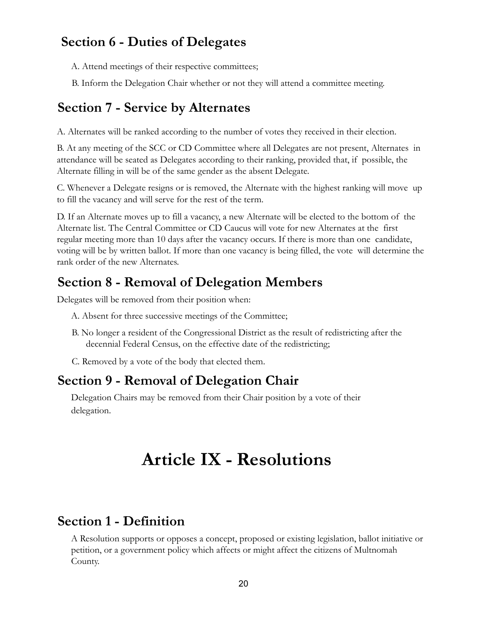### <span id="page-19-0"></span>**Section 6 - Duties of Delegates**

A. Attend meetings of their respective committees;

B. Inform the Delegation Chair whether or not they will attend a committee meeting.

### <span id="page-19-1"></span>**Section 7 - Service by Alternates**

A. Alternates will be ranked according to the number of votes they received in their election.

B. At any meeting of the SCC or CD Committee where all Delegates are not present, Alternates in attendance will be seated as Delegates according to their ranking, provided that, if possible, the Alternate filling in will be of the same gender as the absent Delegate.

C. Whenever a Delegate resigns or is removed, the Alternate with the highest ranking will move up to fill the vacancy and will serve for the rest of the term.

D. If an Alternate moves up to fill a vacancy, a new Alternate will be elected to the bottom of the Alternate list. The Central Committee or CD Caucus will vote for new Alternates at the first regular meeting more than 10 days after the vacancy occurs. If there is more than one candidate, voting will be by written ballot. If more than one vacancy is being filled, the vote will determine the rank order of the new Alternates.

### <span id="page-19-2"></span>**Section 8 - Removal of Delegation Members**

Delegates will be removed from their position when:

- A. Absent for three successive meetings of the Committee;
- B. No longer a resident of the Congressional District as the result of redistricting after the decennial Federal Census, on the effective date of the redistricting;
- C. Removed by a vote of the body that elected them.

### <span id="page-19-3"></span>**Section 9 - Removal of Delegation Chair**

<span id="page-19-4"></span>Delegation Chairs may be removed from their Chair position by a vote of their delegation.

## **Article IX - Resolutions**

### <span id="page-19-5"></span>**Section 1 - Definition**

A Resolution supports or opposes a concept, proposed or existing legislation, ballot initiative or petition, or a government policy which affects or might affect the citizens of Multnomah County.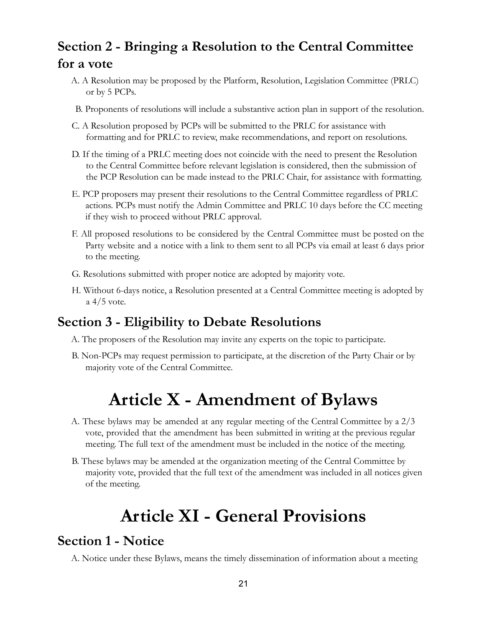## <span id="page-20-0"></span>**Section 2 - Bringing a Resolution to the Central Committee for a vote**

- A. A Resolution may be proposed by the Platform, Resolution, Legislation Committee (PRLC) or by 5 PCPs.
- B. Proponents of resolutions will include a substantive action plan in support of the resolution.
- C. A Resolution proposed by PCPs will be submitted to the PRLC for assistance with formatting and for PRLC to review, make recommendations, and report on resolutions.
- D. If the timing of a PRLC meeting does not coincide with the need to present the Resolution to the Central Committee before relevant legislation is considered, then the submission of the PCP Resolution can be made instead to the PRLC Chair, for assistance with formatting.
- E. PCP proposers may present their resolutions to the Central Committee regardless of PRLC actions. PCPs must notify the Admin Committee and PRLC 10 days before the CC meeting if they wish to proceed without PRLC approval.
- F. All proposed resolutions to be considered by the Central Committee must be posted on the Party website and a notice with a link to them sent to all PCPs via email at least 6 days prior to the meeting.
- G. Resolutions submitted with proper notice are adopted by majority vote.
- H. Without 6-days notice, a Resolution presented at a Central Committee meeting is adopted by a 4/5 vote.

### <span id="page-20-1"></span>**Section 3 - Eligibility to Debate Resolutions**

- A. The proposers of the Resolution may invite any experts on the topic to participate.
- <span id="page-20-2"></span>B. Non-PCPs may request permission to participate, at the discretion of the Party Chair or by majority vote of the Central Committee.

## **Article X - Amendment of Bylaws**

- A. These bylaws may be amended at any regular meeting of the Central Committee by a 2/3 vote, provided that the amendment has been submitted in writing at the previous regular meeting. The full text of the amendment must be included in the notice of the meeting.
- <span id="page-20-3"></span>B. These bylaws may be amended at the organization meeting of the Central Committee by majority vote, provided that the full text of the amendment was included in all notices given of the meeting.

## **Article XI - General Provisions**

### <span id="page-20-4"></span>**Section 1 - Notice**

A. Notice under these Bylaws, means the timely dissemination of information about a meeting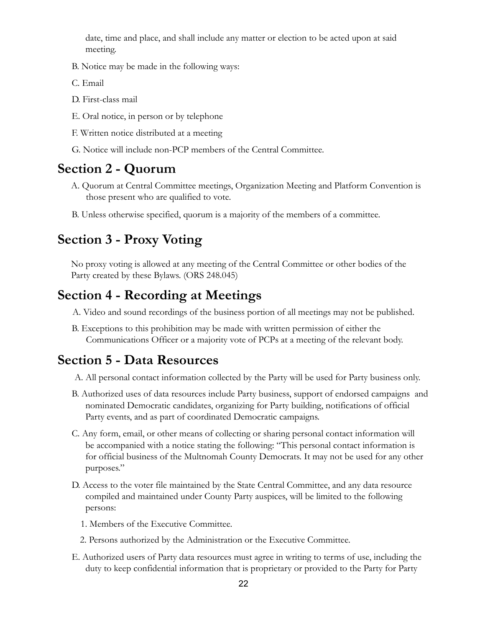date, time and place, and shall include any matter or election to be acted upon at said meeting.

- B. Notice may be made in the following ways:
- C. Email
- D. First-class mail
- E. Oral notice, in person or by telephone
- F. Written notice distributed at a meeting
- G. Notice will include non-PCP members of the Central Committee.

### <span id="page-21-0"></span>**Section 2 - Quorum**

- A. Quorum at Central Committee meetings, Organization Meeting and Platform Convention is those present who are qualified to vote.
- B. Unless otherwise specified, quorum is a majority of the members of a committee.

### <span id="page-21-1"></span>**Section 3 - Proxy Voting**

No proxy voting is allowed at any meeting of the Central Committee or other bodies of the Party created by these Bylaws. (ORS 248.045)

### <span id="page-21-2"></span>**Section 4 - Recording at Meetings**

A. Video and sound recordings of the business portion of all meetings may not be published.

B. Exceptions to this prohibition may be made with written permission of either the Communications Officer or a majority vote of PCPs at a meeting of the relevant body.

### <span id="page-21-3"></span>**Section 5 - Data Resources**

- A. All personal contact information collected by the Party will be used for Party business only.
- B. Authorized uses of data resources include Party business, support of endorsed campaigns and nominated Democratic candidates, organizing for Party building, notifications of official Party events, and as part of coordinated Democratic campaigns.
- C. Any form, email, or other means of collecting or sharing personal contact information will be accompanied with a notice stating the following: "This personal contact information is for official business of the Multnomah County Democrats. It may not be used for any other purposes."
- D. Access to the voter file maintained by the State Central Committee, and any data resource compiled and maintained under County Party auspices, will be limited to the following persons:
	- 1. Members of the Executive Committee.
	- 2. Persons authorized by the Administration or the Executive Committee.
- E. Authorized users of Party data resources must agree in writing to terms of use, including the duty to keep confidential information that is proprietary or provided to the Party for Party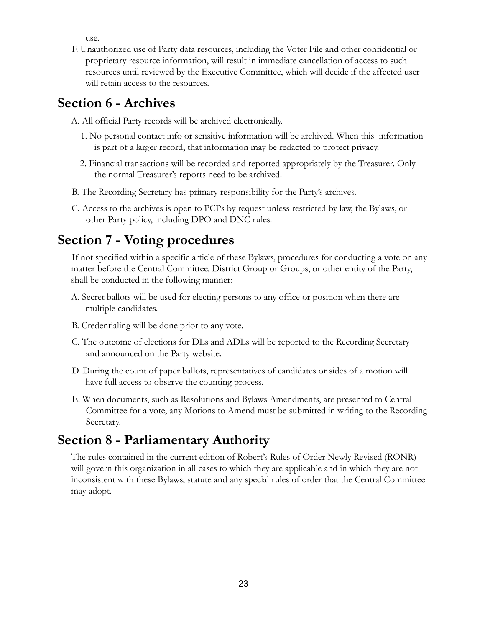use.

F. Unauthorized use of Party data resources, including the Voter File and other confidential or proprietary resource information, will result in immediate cancellation of access to such resources until reviewed by the Executive Committee, which will decide if the affected user will retain access to the resources.

### <span id="page-22-0"></span>**Section 6 - Archives**

A. All official Party records will be archived electronically.

- 1. No personal contact info or sensitive information will be archived. When this information is part of a larger record, that information may be redacted to protect privacy.
- 2. Financial transactions will be recorded and reported appropriately by the Treasurer. Only the normal Treasurer's reports need to be archived.
- B. The Recording Secretary has primary responsibility for the Party's archives.
- C. Access to the archives is open to PCPs by request unless restricted by law, the Bylaws, or other Party policy, including DPO and DNC rules.

## <span id="page-22-1"></span>**Section 7 - Voting procedures**

If not specified within a specific article of these Bylaws, procedures for conducting a vote on any matter before the Central Committee, District Group or Groups, or other entity of the Party, shall be conducted in the following manner:

- A. Secret ballots will be used for electing persons to any office or position when there are multiple candidates.
- B. Credentialing will be done prior to any vote.
- C. The outcome of elections for DLs and ADLs will be reported to the Recording Secretary and announced on the Party website.
- D. During the count of paper ballots, representatives of candidates or sides of a motion will have full access to observe the counting process.
- E. When documents, such as Resolutions and Bylaws Amendments, are presented to Central Committee for a vote, any Motions to Amend must be submitted in writing to the Recording Secretary.

### <span id="page-22-2"></span>**Section 8 - Parliamentary Authority**

The rules contained in the current edition of Robert's Rules of Order Newly Revised (RONR) will govern this organization in all cases to which they are applicable and in which they are not inconsistent with these Bylaws, statute and any special rules of order that the Central Committee may adopt.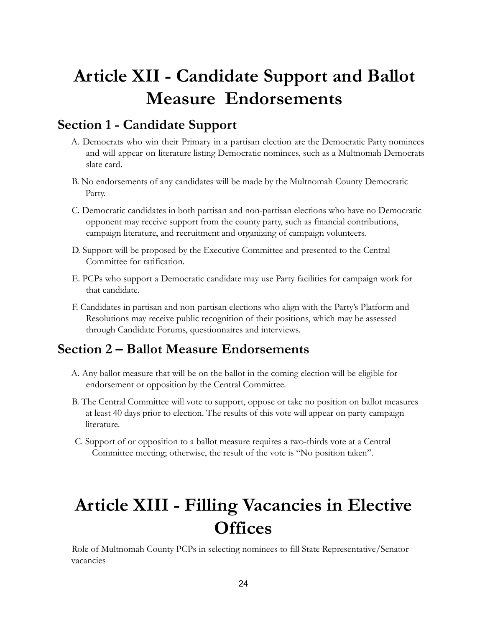## <span id="page-23-0"></span>**Article XII - Candidate Support and Ballot Measure Endorsements**

### <span id="page-23-1"></span>**Section 1 - Candidate Support**

- A. Democrats who win their Primary in a partisan election are the Democratic Party nominees and will appear on literature listing Democratic nominees, such as a Multnomah Democrats slate card.
- B. No endorsements of any candidates will be made by the Multnomah County Democratic Party.
- C. Democratic candidates in both partisan and non-partisan elections who have no Democratic opponent may receive support from the county party, such as financial contributions, campaign literature, and recruitment and organizing of campaign volunteers.
- D. Support will be proposed by the Executive Committee and presented to the Central Committee for ratification.
- E. PCPs who support a Democratic candidate may use Party facilities for campaign work for that candidate.
- F. Candidates in partisan and non-partisan elections who align with the Party's Platform and Resolutions may receive public recognition of their positions, which may be assessed through Candidate Forums, questionnaires and interviews.

### <span id="page-23-2"></span>**Section 2 – Ballot Measure Endorsements**

- A. Any ballot measure that will be on the ballot in the coming election will be eligible for endorsement or opposition by the Central Committee.
- B. The Central Committee will vote to support, oppose or take no position on ballot measures at least 40 days prior to election. The results of this vote will appear on party campaign literature.
- <span id="page-23-3"></span>C. Support of or opposition to a ballot measure requires a two-thirds vote at a Central Committee meeting; otherwise, the result of the vote is "No position taken".

## **Article XIII - Filling Vacancies in Elective Offices**

Role of Multnomah County PCPs in selecting nominees to fill State Representative/Senator vacancies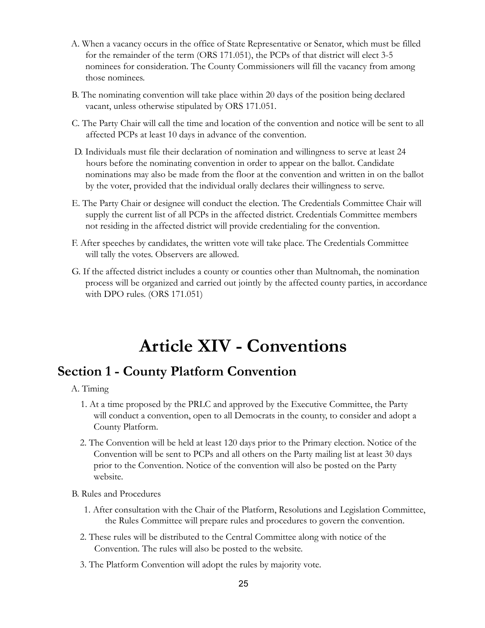- A. When a vacancy occurs in the office of State Representative or Senator, which must be filled for the remainder of the term (ORS 171.051), the PCPs of that district will elect 3-5 nominees for consideration. The County Commissioners will fill the vacancy from among those nominees.
- B. The nominating convention will take place within 20 days of the position being declared vacant, unless otherwise stipulated by ORS 171.051.
- C. The Party Chair will call the time and location of the convention and notice will be sent to all affected PCPs at least 10 days in advance of the convention.
- D. Individuals must file their declaration of nomination and willingness to serve at least 24 hours before the nominating convention in order to appear on the ballot. Candidate nominations may also be made from the floor at the convention and written in on the ballot by the voter, provided that the individual orally declares their willingness to serve.
- E. The Party Chair or designee will conduct the election. The Credentials Committee Chair will supply the current list of all PCPs in the affected district. Credentials Committee members not residing in the affected district will provide credentialing for the convention.
- F. After speeches by candidates, the written vote will take place. The Credentials Committee will tally the votes. Observers are allowed.
- <span id="page-24-0"></span>G. If the affected district includes a county or counties other than Multnomah, the nomination process will be organized and carried out jointly by the affected county parties, in accordance with DPO rules. (ORS 171.051)

## **Article XIV - Conventions**

### <span id="page-24-1"></span>**Section 1 - County Platform Convention**

- A. Timing
	- 1. At a time proposed by the PRLC and approved by the Executive Committee, the Party will conduct a convention, open to all Democrats in the county, to consider and adopt a County Platform.
	- 2. The Convention will be held at least 120 days prior to the Primary election. Notice of the Convention will be sent to PCPs and all others on the Party mailing list at least 30 days prior to the Convention. Notice of the convention will also be posted on the Party website.
- B. Rules and Procedures
	- 1. After consultation with the Chair of the Platform, Resolutions and Legislation Committee, the Rules Committee will prepare rules and procedures to govern the convention.
	- 2. These rules will be distributed to the Central Committee along with notice of the Convention. The rules will also be posted to the website.
	- 3. The Platform Convention will adopt the rules by majority vote.